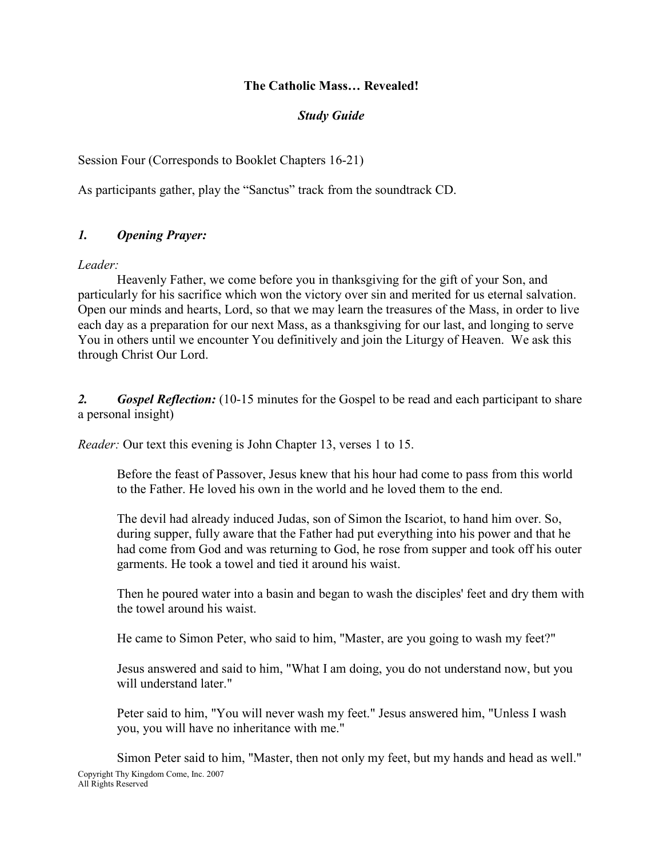#### The Catholic Mass… Revealed!

#### Study Guide

Session Four (Corresponds to Booklet Chapters 16-21)

As participants gather, play the "Sanctus" track from the soundtrack CD.

# 1. Opening Prayer:

Leader:

Heavenly Father, we come before you in thanksgiving for the gift of your Son, and particularly for his sacrifice which won the victory over sin and merited for us eternal salvation. Open our minds and hearts, Lord, so that we may learn the treasures of the Mass, in order to live each day as a preparation for our next Mass, as a thanksgiving for our last, and longing to serve You in others until we encounter You definitively and join the Liturgy of Heaven. We ask this through Christ Our Lord.

2. Gospel Reflection: (10-15 minutes for the Gospel to be read and each participant to share a personal insight)

Reader: Our text this evening is John Chapter 13, verses 1 to 15.

Before the feast of Passover, Jesus knew that his hour had come to pass from this world to the Father. He loved his own in the world and he loved them to the end.

The devil had already induced Judas, son of Simon the Iscariot, to hand him over. So, during supper, fully aware that the Father had put everything into his power and that he had come from God and was returning to God, he rose from supper and took off his outer garments. He took a towel and tied it around his waist.

Then he poured water into a basin and began to wash the disciples' feet and dry them with the towel around his waist.

He came to Simon Peter, who said to him, "Master, are you going to wash my feet?"

Jesus answered and said to him, "What I am doing, you do not understand now, but you will understand later."

Peter said to him, "You will never wash my feet." Jesus answered him, "Unless I wash you, you will have no inheritance with me."

Copyright Thy Kingdom Come, Inc. 2007 All Rights Reserved Simon Peter said to him, "Master, then not only my feet, but my hands and head as well."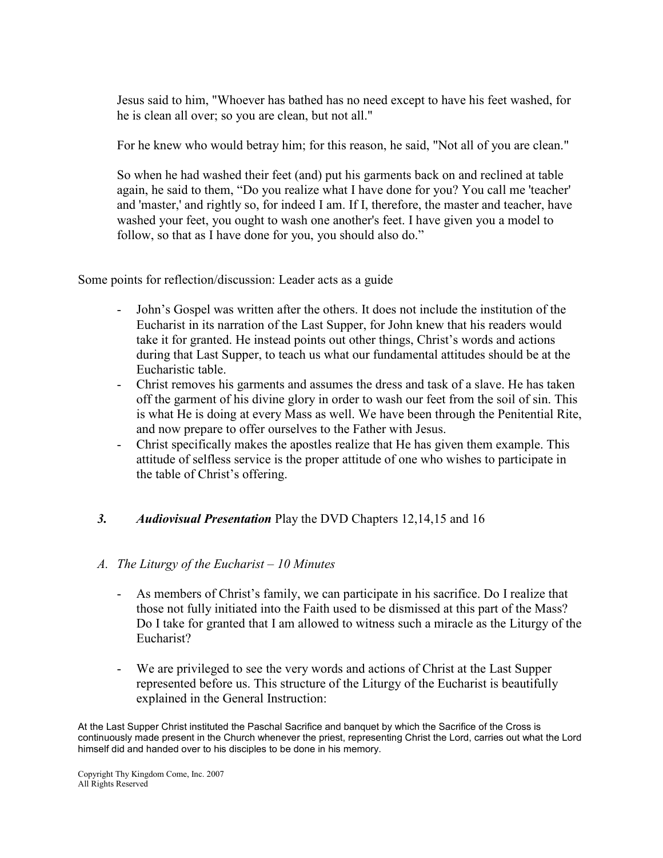Jesus said to him, "Whoever has bathed has no need except to have his feet washed, for he is clean all over; so you are clean, but not all."

For he knew who would betray him; for this reason, he said, "Not all of you are clean."

So when he had washed their feet (and) put his garments back on and reclined at table again, he said to them, "Do you realize what I have done for you? You call me 'teacher' and 'master,' and rightly so, for indeed I am. If I, therefore, the master and teacher, have washed your feet, you ought to wash one another's feet. I have given you a model to follow, so that as I have done for you, you should also do."

Some points for reflection/discussion: Leader acts as a guide

- John's Gospel was written after the others. It does not include the institution of the Eucharist in its narration of the Last Supper, for John knew that his readers would take it for granted. He instead points out other things, Christ's words and actions during that Last Supper, to teach us what our fundamental attitudes should be at the Eucharistic table.
- Christ removes his garments and assumes the dress and task of a slave. He has taken off the garment of his divine glory in order to wash our feet from the soil of sin. This is what He is doing at every Mass as well. We have been through the Penitential Rite, and now prepare to offer ourselves to the Father with Jesus.
- Christ specifically makes the apostles realize that He has given them example. This attitude of selfless service is the proper attitude of one who wishes to participate in the table of Christ's offering.

# 3. Audiovisual Presentation Play the DVD Chapters 12,14,15 and 16

#### A. The Liturgy of the Eucharist – 10 Minutes

- As members of Christ's family, we can participate in his sacrifice. Do I realize that those not fully initiated into the Faith used to be dismissed at this part of the Mass? Do I take for granted that I am allowed to witness such a miracle as the Liturgy of the Eucharist?
- We are privileged to see the very words and actions of Christ at the Last Supper represented before us. This structure of the Liturgy of the Eucharist is beautifully explained in the General Instruction:

At the Last Supper Christ instituted the Paschal Sacrifice and banquet by which the Sacrifice of the Cross is continuously made present in the Church whenever the priest, representing Christ the Lord, carries out what the Lord himself did and handed over to his disciples to be done in his memory.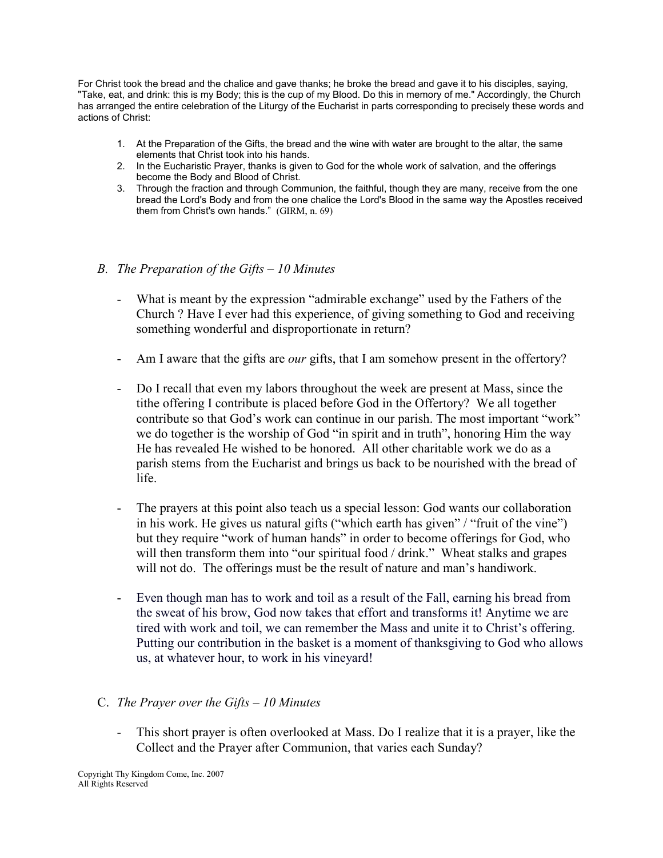For Christ took the bread and the chalice and gave thanks; he broke the bread and gave it to his disciples, saying, "Take, eat, and drink: this is my Body; this is the cup of my Blood. Do this in memory of me." Accordingly, the Church has arranged the entire celebration of the Liturgy of the Eucharist in parts corresponding to precisely these words and actions of Christ:

- 1. At the Preparation of the Gifts, the bread and the wine with water are brought to the altar, the same elements that Christ took into his hands.
- 2. In the Eucharistic Prayer, thanks is given to God for the whole work of salvation, and the offerings become the Body and Blood of Christ.
- 3. Through the fraction and through Communion, the faithful, though they are many, receive from the one bread the Lord's Body and from the one chalice the Lord's Blood in the same way the Apostles received them from Christ's own hands." (GIRM, n. 69)
- B. The Preparation of the Gifts 10 Minutes
	- What is meant by the expression "admirable exchange" used by the Fathers of the Church ? Have I ever had this experience, of giving something to God and receiving something wonderful and disproportionate in return?
	- Am I aware that the gifts are *our* gifts, that I am somehow present in the offertory?
	- Do I recall that even my labors throughout the week are present at Mass, since the tithe offering I contribute is placed before God in the Offertory? We all together contribute so that God's work can continue in our parish. The most important "work" we do together is the worship of God "in spirit and in truth", honoring Him the way He has revealed He wished to be honored. All other charitable work we do as a parish stems from the Eucharist and brings us back to be nourished with the bread of life.
	- The prayers at this point also teach us a special lesson: God wants our collaboration in his work. He gives us natural gifts ("which earth has given" / "fruit of the vine") but they require "work of human hands" in order to become offerings for God, who will then transform them into "our spiritual food / drink." Wheat stalks and grapes will not do. The offerings must be the result of nature and man's handiwork.
	- Even though man has to work and toil as a result of the Fall, earning his bread from the sweat of his brow, God now takes that effort and transforms it! Anytime we are tired with work and toil, we can remember the Mass and unite it to Christ's offering. Putting our contribution in the basket is a moment of thanksgiving to God who allows us, at whatever hour, to work in his vineyard!

# C. The Prayer over the Gifts  $-10$  Minutes

- This short prayer is often overlooked at Mass. Do I realize that it is a prayer, like the Collect and the Prayer after Communion, that varies each Sunday?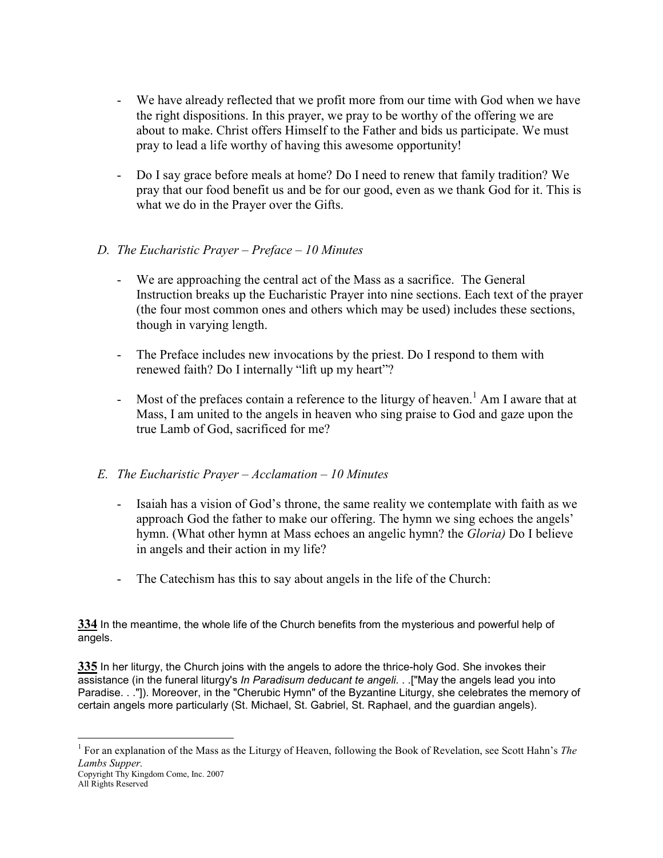- We have already reflected that we profit more from our time with God when we have the right dispositions. In this prayer, we pray to be worthy of the offering we are about to make. Christ offers Himself to the Father and bids us participate. We must pray to lead a life worthy of having this awesome opportunity!
- Do I say grace before meals at home? Do I need to renew that family tradition? We pray that our food benefit us and be for our good, even as we thank God for it. This is what we do in the Prayer over the Gifts.

# D. The Eucharistic Prayer – Preface – 10 Minutes

- We are approaching the central act of the Mass as a sacrifice. The General Instruction breaks up the Eucharistic Prayer into nine sections. Each text of the prayer (the four most common ones and others which may be used) includes these sections, though in varying length.
- The Preface includes new invocations by the priest. Do I respond to them with renewed faith? Do I internally "lift up my heart"?
- Most of the prefaces contain a reference to the liturgy of heaven.<sup>1</sup> Am I aware that at Mass, I am united to the angels in heaven who sing praise to God and gaze upon the true Lamb of God, sacrificed for me?

# E. The Eucharistic Prayer – Acclamation – 10 Minutes

- Isaiah has a vision of God's throne, the same reality we contemplate with faith as we approach God the father to make our offering. The hymn we sing echoes the angels' hymn. (What other hymn at Mass echoes an angelic hymn? the *Gloria*) Do I believe in angels and their action in my life?
- The Catechism has this to say about angels in the life of the Church:

334 In the meantime, the whole life of the Church benefits from the mysterious and powerful help of angels.

335 In her liturgy, the Church joins with the angels to adore the thrice-holy God. She invokes their assistance (in the funeral liturgy's In Paradisum deducant te angeli. . .["May the angels lead you into Paradise. . ."]). Moreover, in the "Cherubic Hymn" of the Byzantine Liturgy, she celebrates the memory of certain angels more particularly (St. Michael, St. Gabriel, St. Raphael, and the guardian angels).

<sup>-</sup><sup>1</sup> For an explanation of the Mass as the Liturgy of Heaven, following the Book of Revelation, see Scott Hahn's The Lambs Supper.